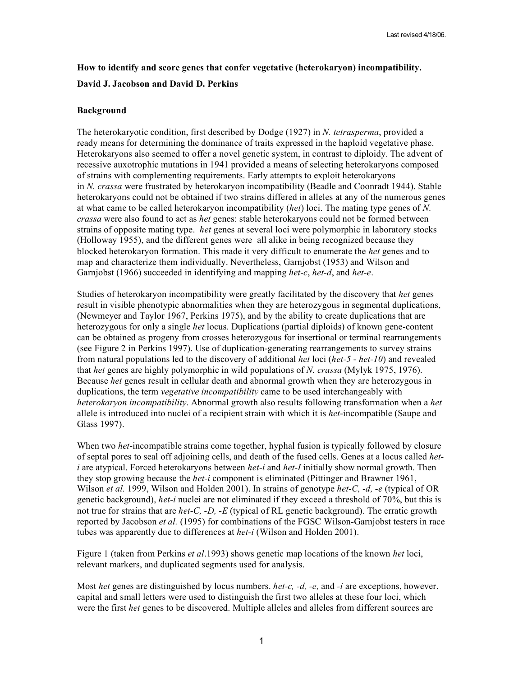# **How to identify and score genes that confer vegetative (heterokaryon) incompatibility. David J. Jacobson and David D. Perkins**

## **Background**

The heterokaryotic condition, first described by Dodge (1927) in *N. tetrasperma*, provided a ready means for determining the dominance of traits expressed in the haploid vegetative phase. Heterokaryons also seemed to offer a novel genetic system, in contrast to diploidy. The advent of recessive auxotrophic mutations in 1941 provided a means of selecting heterokaryons composed of strains with complementing requirements. Early attempts to exploit heterokaryons in *N. crassa* were frustrated by heterokaryon incompatibility (Beadle and Coonradt 1944). Stable heterokaryons could not be obtained if two strains differed in alleles at any of the numerous genes at what came to be called heterokaryon incompatibility (*het*) loci. The mating type genes of *N. crassa* were also found to act as *het* genes: stable heterokaryons could not be formed between strains of opposite mating type. *het* genes at several loci were polymorphic in laboratory stocks (Holloway 1955), and the different genes were all alike in being recognized because they blocked heterokaryon formation. This made it very difficult to enumerate the *het* genes and to map and characterize them individually. Nevertheless, Garnjobst (1953) and Wilson and Garnjobst (1966) succeeded in identifying and mapping *het-c*, *het-d*, and *het-e*.

Studies of heterokaryon incompatibility were greatly facilitated by the discovery that *het* genes result in visible phenotypic abnormalities when they are heterozygous in segmental duplications, (Newmeyer and Taylor 1967, Perkins 1975), and by the ability to create duplications that are heterozygous for only a single *het* locus. Duplications (partial diploids) of known gene-content can be obtained as progeny from crosses heterozygous for insertional or terminal rearrangements (see Figure 2 in Perkins 1997). Use of duplication-generating rearrangements to survey strains from natural populations led to the discovery of additional *het* loci (*het-5* - *het-10*) and revealed that *het* genes are highly polymorphic in wild populations of *N. crassa* (Mylyk 1975, 1976). Because *het* genes result in cellular death and abnormal growth when they are heterozygous in duplications, the term *vegetative incompatibility* came to be used interchangeably with *heterokaryon incompatibility*. Abnormal growth also results following transformation when a *het* allele is introduced into nuclei of a recipient strain with which it is *het*-incompatible (Saupe and Glass 1997).

When two *het*-incompatible strains come together, hyphal fusion is typically followed by closure of septal pores to seal off adjoining cells, and death of the fused cells. Genes at a locus called *heti* are atypical. Forced heterokaryons between *het-i* and *het-I* initially show normal growth. Then they stop growing because the *het-i* component is eliminated (Pittinger and Brawner 1961, Wilson *et al.* 1999, Wilson and Holden 2001). In strains of genotype *het-C, -d, -e* (typical of OR genetic background), *het-i* nuclei are not eliminated if they exceed a threshold of 70%, but this is not true for strains that are *het-C, -D, -E* (typical of RL genetic background). The erratic growth reported by Jacobson *et al.* (1995) for combinations of the FGSC Wilson-Garnjobst testers in race tubes was apparently due to differences at *het-i* (Wilson and Holden 2001).

Figure 1 (taken from Perkins *et al*.1993) shows genetic map locations of the known *het* loci, relevant markers, and duplicated segments used for analysis.

Most *het* genes are distinguished by locus numbers. *het-c, -d, -e,* and *-i* are exceptions, however. capital and small letters were used to distinguish the first two alleles at these four loci, which were the first *het* genes to be discovered. Multiple alleles and alleles from different sources are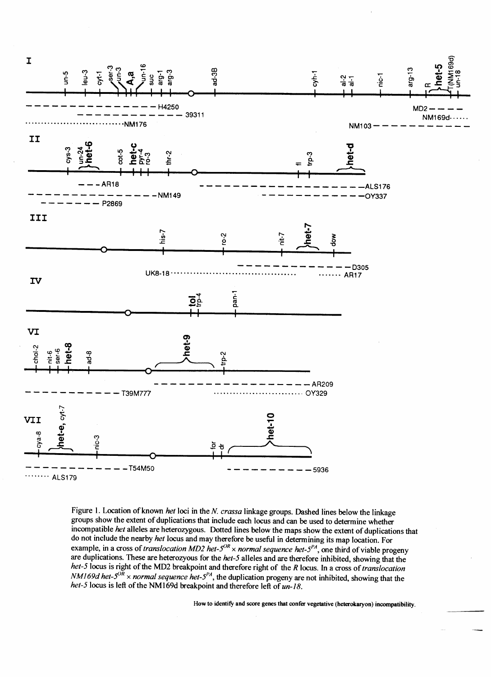

Figure 1. Location of known het loci in the N. crassa linkage groups. Dashed lines below the linkage groups show the extent of duplications that include each locus and can be used to determine whether incompatible het alleles are heterozygous. Dotted lines below the maps show the extent of duplications that do not include the nearby *het* locus and may therefore be useful in determining its map location. For example, in a cross of *translocation MD2 het-5<sup>0R</sup>* × *normal sequence het-5<sup>PA</sup>*, one third of viable progeny are duplications. These are heterozyous for the het-5 alleles and are therefore inhibited, showing that the het-5 locus is right of the MD2 breakpoint and therefore right of the R locus. In a cross of translocation NM169d het-5<sup>0R</sup> × normal sequence het-5<sup>PA</sup>, the duplication progeny are not inhibited, showing that the het-5 locus is left of the NM169d breakpoint and therefore left of un-18.

How to identify and score genes that confer vegetative (heterokaryon) incompatibility.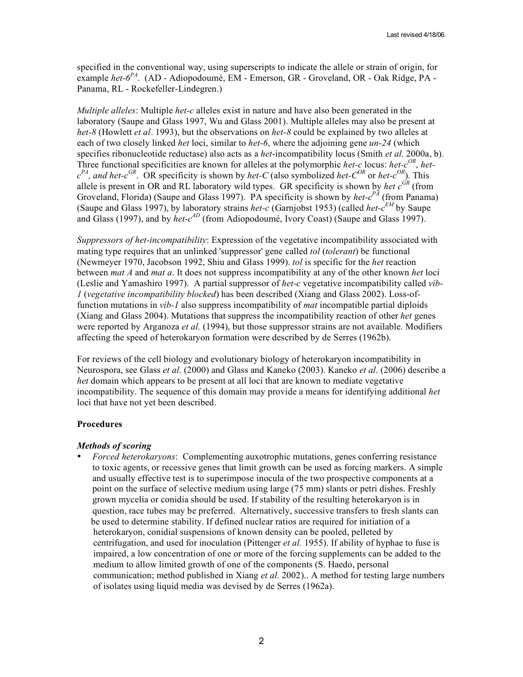specified in the conventional way, using superscripts to indicate the allele or strain of origin, for example *het-6PA* . (AD - Adiopodoumé, EM - Emerson, GR - Groveland, OR - Oak Ridge, PA - Panama, RL - Rockefeller-Lindegren.)

*Multiple alleles*: Multiple *het-c* alleles exist in nature and have also been generated in the laboratory (Saupe and Glass 1997, Wu and Glass 2001). Multiple alleles may also be present at *het-8* (Howlett *et al*. 1993), but the observations on *het-8* could be explained by two alleles at each of two closely linked *het* loci, similar to *het-6*, where the adjoining gene *un-24* (which specifies ribonucleotide reductase) also acts as a *het*-incompatibility locus (Smith *et al.* 2000a, b). Three functional specificities are known for alleles at the polymorphic *het-c* locus: *het-c*<sup>OR</sup>, *het* $c^{PA}$ , and het- $c^{GR}$ . OR specificity is shown by *het-C* (also symbolized *het-C<sup>OR</sup>* or *het-c<sup>OR</sup>*). This allele is present in OR and RL laboratory wild types. GR specificity is shown by *het*  $c^{GR}$  (from Groveland, Florida) (Saupe and Glass 1997). PA specificity is shown by *het-c<sup>PA</sup>* (from Panama) (Saupe and Glass 1997), by laboratory strains *het-c* (Garnjobst 1953) (called *het-c EM* by Saupe and Glass (1997), and by *het-c<sup>AD</sup>* (from Adiopodoumé, Ivory Coast) (Saupe and Glass 1997).

*Suppressors of het-incompatibility*: Expression of the vegetative incompatibility associated with mating type requires that an unlinked 'suppressor' gene called *tol* (*tolerant*) be functional (Newmeyer 1970, Jacobson 1992, Shiu and Glass 1999). *tol* is specific for the *het* reaction between *mat A* and *mat a*. It does not suppress incompatibility at any of the other known *het* loci (Leslie and Yamashiro 1997). A partial suppressor of *het-c* vegetative incompatibility called *vib-1* (*vegetative incompatibility blocked*) has been described (Xiang and Glass 2002). Loss-offunction mutations in *vib-1* also suppress incompatibility of *mat* incompatible partial diploids (Xiang and Glass 2004). Mutations that suppress the incompatibility reaction of other *het* genes were reported by Arganoza *et al.* (1994), but those suppressor strains are not available. Modifiers affecting the speed of heterokaryon formation were described by de Serres (1962b).

For reviews of the cell biology and evolutionary biology of heterokaryon incompatibility in Neurospora, see Glass *et al.* (2000) and Glass and Kaneko (2003). Kaneko *et al*. (2006) describe a *het* domain which appears to be present at all loci that are known to mediate vegetative incompatibility. The sequence of this domain may provide a means for identifying additional *het* loci that have not yet been described.

### **Procedures**

#### *Methods of scoring*

• *Forced heterokaryons*: Complementing auxotrophic mutations, genes conferring resistance to toxic agents, or recessive genes that limit growth can be used as forcing markers. A simple and usually effective test is to superimpose inocula of the two prospective components at a point on the surface of selective medium using large (75 mm) slants or petri dishes. Freshly grown mycelia or conidia should be used. If stability of the resulting heterokaryon is in question, race tubes may be preferred. Alternatively, successive transfers to fresh slants can be used to determine stability. If defined nuclear ratios are required for initiation of a heterokaryon, conidial suspensions of known density can be pooled, pelleted by centrifugation, and used for inoculation (Pittenger *et al.* 1955). If ability of hyphae to fuse is impaired, a low concentration of one or more of the forcing supplements can be added to the medium to allow limited growth of one of the components (S. Haedo, personal communication; method published in Xiang *et al.* 2002).. A method for testing large numbers of isolates using liquid media was devised by de Serres (1962a).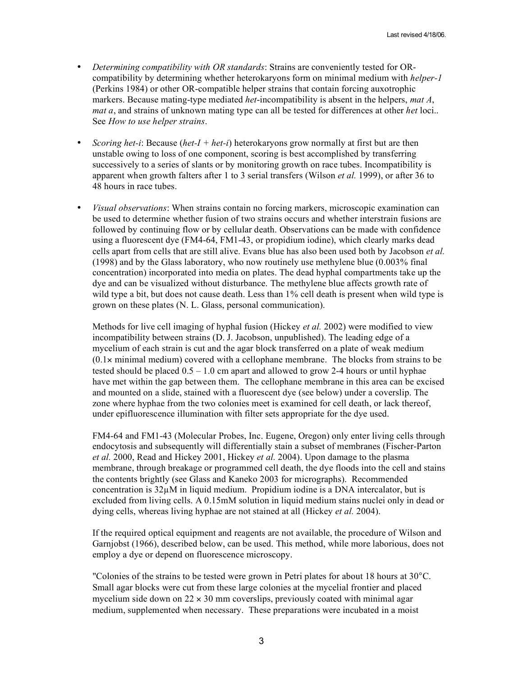- *Determining compatibility with OR standards*: Strains are conveniently tested for ORcompatibility by determining whether heterokaryons form on minimal medium with *helper-1* (Perkins 1984) or other OR-compatible helper strains that contain forcing auxotrophic markers. Because mating-type mediated *het*-incompatibility is absent in the helpers, *mat A*, *mat a*, and strains of unknown mating type can all be tested for differences at other *het* loci.. See *How to use helper strains*.
- *Scoring het-i*: Because (*het-I + het-i*) heterokaryons grow normally at first but are then unstable owing to loss of one component, scoring is best accomplished by transferring successively to a series of slants or by monitoring growth on race tubes. Incompatibility is apparent when growth falters after 1 to 3 serial transfers (Wilson *et al.* 1999), or after 36 to 48 hours in race tubes.
- *Visual observations*: When strains contain no forcing markers, microscopic examination can be used to determine whether fusion of two strains occurs and whether interstrain fusions are followed by continuing flow or by cellular death. Observations can be made with confidence using a fluorescent dye (FM4-64, FM1-43, or propidium iodine), which clearly marks dead cells apart from cells that are still alive. Evans blue has also been used both by Jacobson *et al.* (1998) and by the Glass laboratory, who now routinely use methylene blue (0.003% final concentration) incorporated into media on plates. The dead hyphal compartments take up the dye and can be visualized without disturbance. The methylene blue affects growth rate of wild type a bit, but does not cause death. Less than 1% cell death is present when wild type is grown on these plates (N. L. Glass, personal communication).

Methods for live cell imaging of hyphal fusion (Hickey *et al.* 2002) were modified to view incompatibility between strains (D. J. Jacobson, unpublished). The leading edge of a mycelium of each strain is cut and the agar block transferred on a plate of weak medium  $(0.1 \times$  minimal medium) covered with a cellophane membrane. The blocks from strains to be tested should be placed  $0.5 - 1.0$  cm apart and allowed to grow 2-4 hours or until hyphae have met within the gap between them. The cellophane membrane in this area can be excised and mounted on a slide, stained with a fluorescent dye (see below) under a coverslip. The zone where hyphae from the two colonies meet is examined for cell death, or lack thereof, under epifluorescence illumination with filter sets appropriate for the dye used.

FM4-64 and FM1-43 (Molecular Probes, Inc. Eugene, Oregon) only enter living cells through endocytosis and subsequently will differentially stain a subset of membranes (Fischer-Parton *et al.* 2000, Read and Hickey 2001, Hickey *et al.* 2004). Upon damage to the plasma membrane, through breakage or programmed cell death, the dye floods into the cell and stains the contents brightly (see Glass and Kaneko 2003 for micrographs). Recommended concentration is  $32\mu$ M in liquid medium. Propidium iodine is a DNA intercalator, but is excluded from living cells. A 0.15mM solution in liquid medium stains nuclei only in dead or dying cells, whereas living hyphae are not stained at all (Hickey *et al.* 2004).

If the required optical equipment and reagents are not available, the procedure of Wilson and Garnjobst (1966), described below, can be used. This method, while more laborious, does not employ a dye or depend on fluorescence microscopy.

"Colonies of the strains to be tested were grown in Petri plates for about 18 hours at 30°C. Small agar blocks were cut from these large colonies at the mycelial frontier and placed mycelium side down on  $22 \times 30$  mm coverslips, previously coated with minimal agar medium, supplemented when necessary. These preparations were incubated in a moist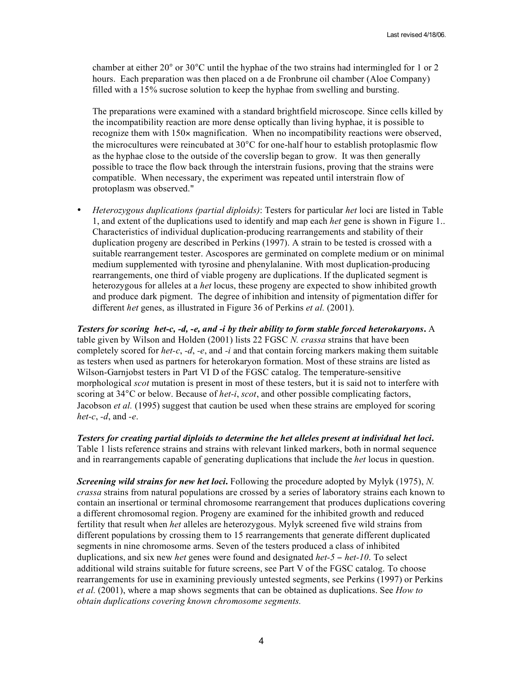chamber at either 20° or 30°C until the hyphae of the two strains had intermingled for 1 or 2 hours. Each preparation was then placed on a de Fronbrune oil chamber (Aloe Company) filled with a 15% sucrose solution to keep the hyphae from swelling and bursting.

The preparations were examined with a standard brightfield microscope. Since cells killed by the incompatibility reaction are more dense optically than living hyphae, it is possible to recognize them with 150× magnification. When no incompatibility reactions were observed, the microcultures were reincubated at 30°C for one-half hour to establish protoplasmic flow as the hyphae close to the outside of the coverslip began to grow. It was then generally possible to trace the flow back through the interstrain fusions, proving that the strains were compatible. When necessary, the experiment was repeated until interstrain flow of protoplasm was observed."

• *Heterozygous duplications (partial diploids)*: Testers for particular *het* loci are listed in Table 1, and extent of the duplications used to identify and map each *het* gene is shown in Figure 1.. Characteristics of individual duplication-producing rearrangements and stability of their duplication progeny are described in Perkins (1997). A strain to be tested is crossed with a suitable rearrangement tester. Ascospores are germinated on complete medium or on minimal medium supplemented with tyrosine and phenylalanine. With most duplication-producing rearrangements, one third of viable progeny are duplications. If the duplicated segment is heterozygous for alleles at a *het* locus, these progeny are expected to show inhibited growth and produce dark pigment. The degree of inhibition and intensity of pigmentation differ for different *het* genes, as illustrated in Figure 36 of Perkins *et al.* (2001).

*Testers for scoring het-c, -d, -e, and -i by their ability to form stable forced heterokaryons***.** A table given by Wilson and Holden (2001) lists 22 FGSC *N. crassa* strains that have been completely scored for *het-c*, *-d*, *-e*, and *-i* and that contain forcing markers making them suitable as testers when used as partners for heterokaryon formation. Most of these strains are listed as Wilson-Garnjobst testers in Part VI D of the FGSC catalog. The temperature-sensitive morphological *scot* mutation is present in most of these testers, but it is said not to interfere with scoring at 34°C or below. Because of *het-i*, *scot*, and other possible complicating factors, Jacobson *et al.* (1995) suggest that caution be used when these strains are employed for scoring *het-c*, *-d*, and *-e*.

*Testers for creating partial diploids to determine the het alleles present at individual het loci***.** Table 1 lists reference strains and strains with relevant linked markers, both in normal sequence and in rearrangements capable of generating duplications that include the *het* locus in question.

*Screening wild strains for new het loci***.** Following the procedure adopted by Mylyk (1975), *N. crassa* strains from natural populations are crossed by a series of laboratory strains each known to contain an insertional or terminal chromosome rearrangement that produces duplications covering a different chromosomal region. Progeny are examined for the inhibited growth and reduced fertility that result when *het* alleles are heterozygous. Mylyk screened five wild strains from different populations by crossing them to 15 rearrangements that generate different duplicated segments in nine chromosome arms. Seven of the testers produced a class of inhibited duplications, and six new *het* genes were found and designated *het-5* − *het-10*. To select additional wild strains suitable for future screens, see Part V of the FGSC catalog. To choose rearrangements for use in examining previously untested segments, see Perkins (1997) or Perkins *et al.* (2001), where a map shows segments that can be obtained as duplications. See *How to obtain duplications covering known chromosome segments.*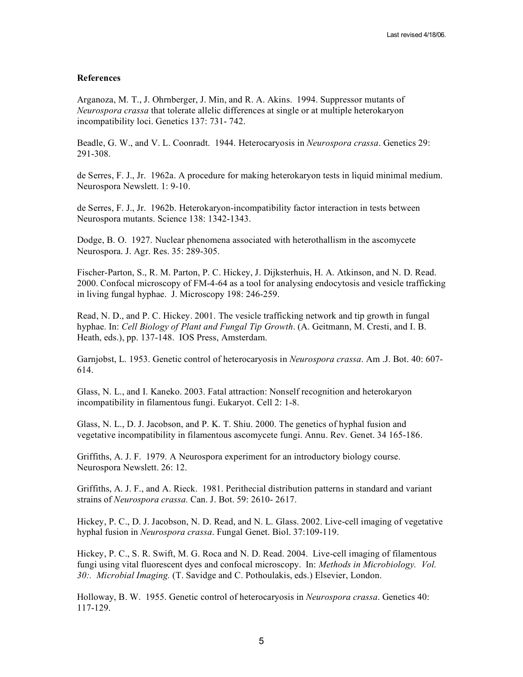### **References**

Arganoza, M. T., J. Ohrnberger, J. Min, and R. A. Akins. 1994. Suppressor mutants of *Neurospora crassa* that tolerate allelic differences at single or at multiple heterokaryon incompatibility loci. Genetics 137: 731- 742.

Beadle, G. W., and V. L. Coonradt. 1944. Heterocaryosis in *Neurospora crassa*. Genetics 29: 291-308.

de Serres, F. J., Jr. 1962a. A procedure for making heterokaryon tests in liquid minimal medium. Neurospora Newslett. 1: 9-10.

de Serres, F. J., Jr. 1962b. Heterokaryon-incompatibility factor interaction in tests between Neurospora mutants. Science 138: 1342-1343.

Dodge, B. O. 1927. Nuclear phenomena associated with heterothallism in the ascomycete Neurospora. J. Agr. Res. 35: 289-305.

Fischer-Parton, S., R. M. Parton, P. C. Hickey, J. Dijksterhuis, H. A. Atkinson, and N. D. Read. 2000. Confocal microscopy of FM-4-64 as a tool for analysing endocytosis and vesicle trafficking in living fungal hyphae. J. Microscopy 198: 246-259.

Read, N. D., and P. C. Hickey. 2001. The vesicle trafficking network and tip growth in fungal hyphae. In: *Cell Biology of Plant and Fungal Tip Growth*. (A. Geitmann, M. Cresti, and I. B. Heath, eds.), pp. 137-148. IOS Press, Amsterdam.

Garnjobst, L. 1953. Genetic control of heterocaryosis in *Neurospora crassa*. Am .J. Bot. 40: 607- 614.

Glass, N. L., and I. Kaneko. 2003. Fatal attraction: Nonself recognition and heterokaryon incompatibility in filamentous fungi. Eukaryot. Cell 2: 1-8.

Glass, N. L., D. J. Jacobson, and P. K. T. Shiu. 2000. The genetics of hyphal fusion and vegetative incompatibility in filamentous ascomycete fungi. Annu. Rev. Genet. 34 165-186.

Griffiths, A. J. F. 1979. A Neurospora experiment for an introductory biology course. Neurospora Newslett. 26: 12.

Griffiths, A. J. F., and A. Rieck. 1981. Perithecial distribution patterns in standard and variant strains of *Neurospora crassa.* Can. J. Bot. 59: 2610- 2617.

Hickey, P. C., D. J. Jacobson, N. D. Read, and N. L. Glass. 2002. Live-cell imaging of vegetative hyphal fusion in *Neurospora crassa*. Fungal Genet. Biol. 37:109-119.

Hickey, P. C., S. R. Swift, M. G. Roca and N. D. Read. 2004. Live-cell imaging of filamentous fungi using vital fluorescent dyes and confocal microscopy. In: *Methods in Microbiology. Vol. 30:. Microbial Imaging.* (T. Savidge and C. Pothoulakis, eds.) Elsevier, London.

Holloway, B. W. 1955. Genetic control of heterocaryosis in *Neurospora crassa*. Genetics 40: 117-129.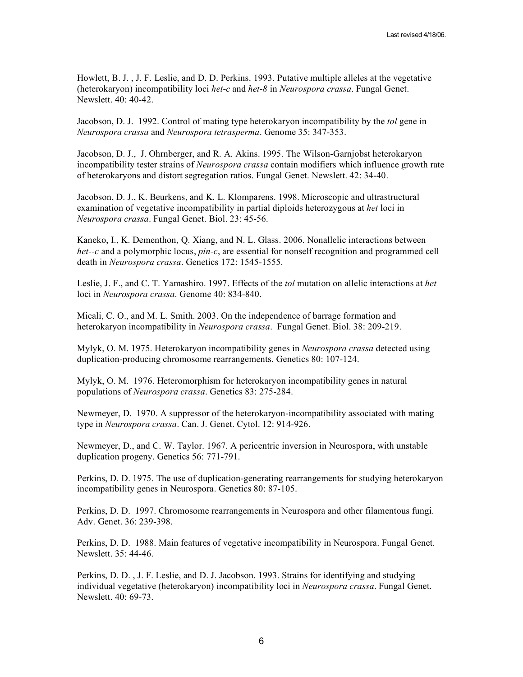Howlett, B. J. , J. F. Leslie, and D. D. Perkins. 1993. Putative multiple alleles at the vegetative (heterokaryon) incompatibility loci *het-c* and *het-8* in *Neurospora crassa*. Fungal Genet. Newslett. 40: 40-42.

Jacobson, D. J. 1992. Control of mating type heterokaryon incompatibility by the *tol* gene in *Neurospora crassa* and *Neurospora tetrasperma*. Genome 35: 347-353.

Jacobson, D. J., J. Ohrnberger, and R. A. Akins. 1995. The Wilson-Garnjobst heterokaryon incompatibility tester strains of *Neurospora crassa* contain modifiers which influence growth rate of heterokaryons and distort segregation ratios. Fungal Genet. Newslett. 42: 34-40.

Jacobson, D. J., K. Beurkens, and K. L. Klomparens. 1998. Microscopic and ultrastructural examination of vegetative incompatibility in partial diploids heterozygous at *het* loci in *Neurospora crassa*. Fungal Genet. Biol. 23: 45-56.

Kaneko, I., K. Dementhon, Q. Xiang, and N. L. Glass. 2006. Nonallelic interactions between *het--c* and a polymorphic locus, *pin-c*, are essential for nonself recognition and programmed cell death in *Neurospora crassa*. Genetics 172: 1545-1555.

Leslie, J. F., and C. T. Yamashiro. 1997. Effects of the *tol* mutation on allelic interactions at *het* loci in *Neurospora crassa*. Genome 40: 834-840.

Micali, C. O., and M. L. Smith. 2003. On the independence of barrage formation and heterokaryon incompatibility in *Neurospora crassa*. Fungal Genet. Biol. 38: 209-219.

Mylyk, O. M. 1975. Heterokaryon incompatibility genes in *Neurospora crassa* detected using duplication-producing chromosome rearrangements. Genetics 80: 107-124.

Mylyk, O. M. 1976. Heteromorphism for heterokaryon incompatibility genes in natural populations of *Neurospora crassa*. Genetics 83: 275-284.

Newmeyer, D. 1970. A suppressor of the heterokaryon-incompatibility associated with mating type in *Neurospora crassa*. Can. J. Genet. Cytol. 12: 914-926.

Newmeyer, D., and C. W. Taylor. 1967. A pericentric inversion in Neurospora, with unstable duplication progeny. Genetics 56: 771-791.

Perkins, D. D. 1975. The use of duplication-generating rearrangements for studying heterokaryon incompatibility genes in Neurospora. Genetics 80: 87-105.

Perkins, D. D. 1997. Chromosome rearrangements in Neurospora and other filamentous fungi. Adv. Genet. 36: 239-398.

Perkins, D. D. 1988. Main features of vegetative incompatibility in Neurospora. Fungal Genet. Newslett. 35: 44-46.

Perkins, D. D. , J. F. Leslie, and D. J. Jacobson. 1993. Strains for identifying and studying individual vegetative (heterokaryon) incompatibility loci in *Neurospora crassa*. Fungal Genet. Newslett. 40: 69-73.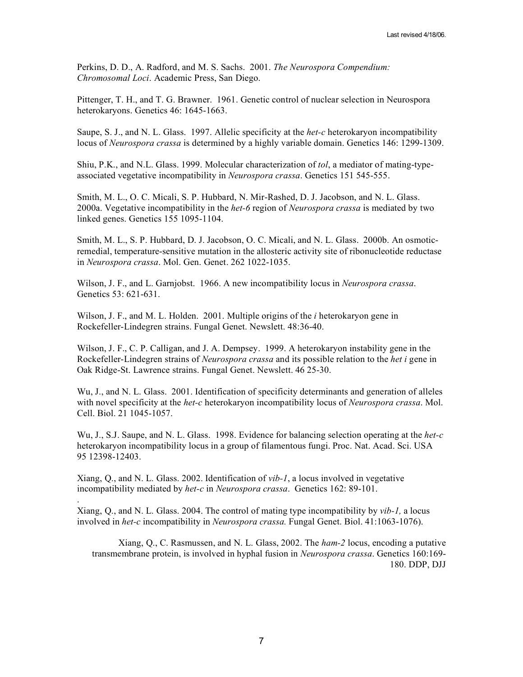Perkins, D. D., A. Radford, and M. S. Sachs. 2001. *The Neurospora Compendium: Chromosomal Loci*. Academic Press, San Diego.

Pittenger, T. H., and T. G. Brawner. 1961. Genetic control of nuclear selection in Neurospora heterokaryons. Genetics 46: 1645-1663.

Saupe, S. J., and N. L. Glass. 1997. Allelic specificity at the *het-c* heterokaryon incompatibility locus of *Neurospora crassa* is determined by a highly variable domain. Genetics 146: 1299-1309.

Shiu, P.K., and N.L. Glass. 1999. Molecular characterization of *tol*, a mediator of mating-typeassociated vegetative incompatibility in *Neurospora crassa*. Genetics 151 545-555.

Smith, M. L., O. C. Micali, S. P. Hubbard, N. Mir-Rashed, D. J. Jacobson, and N. L. Glass. 2000a. Vegetative incompatibility in the *het-6* region of *Neurospora crassa* is mediated by two linked genes. Genetics 155 1095-1104.

Smith, M. L., S. P. Hubbard, D. J. Jacobson, O. C. Micali, and N. L. Glass. 2000b. An osmoticremedial, temperature-sensitive mutation in the allosteric activity site of ribonucleotide reductase in *Neurospora crassa*. Mol. Gen. Genet. 262 1022-1035.

Wilson, J. F., and L. Garnjobst. 1966. A new incompatibility locus in *Neurospora crassa*. Genetics 53: 621-631.

Wilson, J. F., and M. L. Holden. 2001. Multiple origins of the *i* heterokaryon gene in Rockefeller-Lindegren strains. Fungal Genet. Newslett. 48:36-40.

Wilson, J. F., C. P. Calligan, and J. A. Dempsey. 1999. A heterokaryon instability gene in the Rockefeller-Lindegren strains of *Neurospora crassa* and its possible relation to the *het i* gene in Oak Ridge-St. Lawrence strains. Fungal Genet. Newslett. 46 25-30.

Wu, J., and N. L. Glass. 2001. Identification of specificity determinants and generation of alleles with novel specificity at the *het-c* heterokaryon incompatibility locus of *Neurospora crassa*. Mol. Cell. Biol. 21 1045-1057.

Wu, J., S.J. Saupe, and N. L. Glass. 1998. Evidence for balancing selection operating at the *het-c*  heterokaryon incompatibility locus in a group of filamentous fungi. Proc. Nat. Acad. Sci. USA 95 12398-12403.

Xiang, Q., and N. L. Glass. 2002. Identification of *vib-1*, a locus involved in vegetative incompatibility mediated by *het-c* in *Neurospora crassa*. Genetics 162: 89-101.

.

Xiang, Q., and N. L. Glass. 2004. The control of mating type incompatibility by *vib-1,* a locus involved in *het-c* incompatibility in *Neurospora crassa.* Fungal Genet. Biol. 41:1063-1076).

Xiang, Q., C. Rasmussen, and N. L. Glass, 2002. The *ham-2* locus, encoding a putative transmembrane protein, is involved in hyphal fusion in *Neurospora crassa*. Genetics 160:169- 180. DDP, DJJ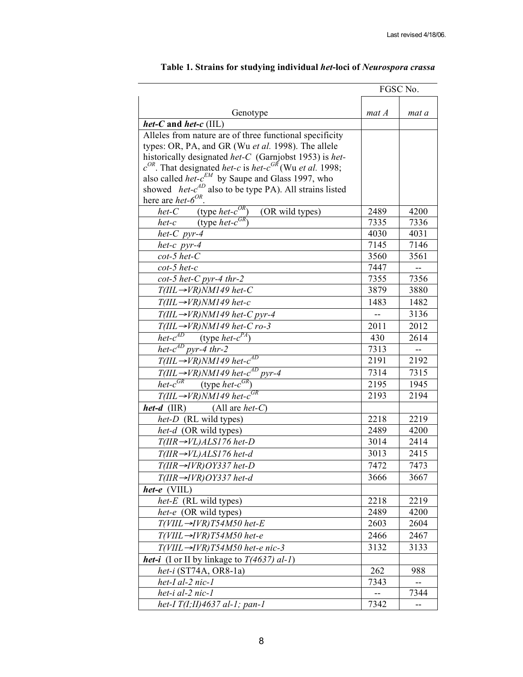|                                                                                                                                                         | FGSC No. |                |
|---------------------------------------------------------------------------------------------------------------------------------------------------------|----------|----------------|
|                                                                                                                                                         |          |                |
| Genotype                                                                                                                                                | mat A    | mat a          |
| het-C and het- $c$ (IIL)                                                                                                                                |          |                |
| Alleles from nature are of three functional specificity                                                                                                 |          |                |
| types: OR, PA, and GR (Wu et al. 1998). The allele                                                                                                      |          |                |
| historically designated het-C (Garnjobst 1953) is het-<br>$c^{OR}$ . That designated <i>het-c</i> is <i>het-c</i> <sup>GR</sup> (Wu <i>et al.</i> 1998; |          |                |
| also called het- $c^{EM}$ by Saupe and Glass 1997, who                                                                                                  |          |                |
| showed <i>het-c<sup>AD</sup></i> also to be type PA). All strains listed                                                                                |          |                |
| here are <i>het</i> - $6^{OR}$ .                                                                                                                        |          |                |
| <i>het-C</i> (type <i>het-c<sup>OR</sup></i> )<br>$(OR$ wild types)                                                                                     | 2489     | 4200           |
| <i>het-c</i> (type <i>het-c</i> <sup>GR</sup> )                                                                                                         | 7335     | 7336           |
| het- $C$ pyr-4                                                                                                                                          | 4030     | 4031           |
| het-c $pyr-4$                                                                                                                                           | 7145     | 7146           |
| $cot-5$ het- $C$                                                                                                                                        | 3560     | 3561           |
| $cot-5$ het-c                                                                                                                                           | 7447     | $\overline{a}$ |
| $cot-5$ het-C pyr-4 thr-2                                                                                                                               | 7355     | 7356           |
| $T(III \rightarrow VR)NM149$ het-C                                                                                                                      | 3879     | 3880           |
| $T(III \rightarrow VR)NM149$ het-c                                                                                                                      | 1483     | 1482           |
| $T(III \rightarrow VR)NM149$ het-C pyr-4                                                                                                                |          | 3136           |
| $T(III \rightarrow VR)NM149$ het-C ro-3                                                                                                                 | 2011     | 2012           |
| <i>het-c<sup>AD</sup></i> (type <i>het-c<sup>PA</sup></i> )                                                                                             | 430      | 2614           |
| het- $c^{AD}$ pyr-4 thr-2                                                                                                                               | 7313     | $\overline{a}$ |
| $T(III \rightarrow VR)NM149$ het- $c^{AD}$                                                                                                              | 2191     | 2192           |
| $T(III \rightarrow VR)NM149$ het- $c^{AD}$ pyr-4                                                                                                        | 7314     | 7315           |
| <i>het-c</i> <sup>GR</sup> (type <i>het-c</i> <sup>GR</sup> )                                                                                           | 2195     | 1945           |
| $T(III \rightarrow VR)NM149$ het- $c^{GR}$                                                                                                              | 2193     | 2194           |
| <i>het-d</i> $(IIR)$<br>(All are <i>het-C</i> )                                                                                                         |          |                |
| het-D (RL wild types)                                                                                                                                   | 2218     | 2219           |
| het-d (OR wild types)                                                                                                                                   | 2489     | 4200           |
| $T(HR \rightarrow VL)ALS176$ het-D                                                                                                                      | 3014     | 2414           |
| $T($ IIR $\rightarrow$ VL) $ALS176$ het-d                                                                                                               | 3013     | 2415           |
| $T(IIR \rightarrow IVR)OY337$ het-D                                                                                                                     | 7472     | 7473           |
| $T(IIR \rightarrow IVR)OY337$ het-d                                                                                                                     | 3666     | 3667           |
| het- $e$ (VIIL)                                                                                                                                         |          |                |
| $het-E$ (RL wild types)                                                                                                                                 | 2218     | 2219           |
| het-e (OR wild types)                                                                                                                                   | 2489     | 4200           |
| $T(VIII \rightarrow IVR) T54M50$ het-E                                                                                                                  | 2603     | 2604           |
| $T(VIII \rightarrow IVR)T54M50$ het-e                                                                                                                   | 2466     | 2467           |
| $T(VIII \rightarrow IVR)T54M50$ het-e nic-3                                                                                                             | 3132     | 3133           |
| <b>het-i</b> (I or II by linkage to $T(4637)$ al-1)                                                                                                     |          |                |
| het-i $(ST74A, OR8-1a)$                                                                                                                                 | 262      | 988            |
| het-I al-2 nic-1                                                                                                                                        | 7343     | --             |
| het-i al-2 nic-1                                                                                                                                        |          | 7344           |
| het-I $T(I;II)$ 4637 al-1; pan-1                                                                                                                        | 7342     | --             |

# **Table 1. Strains for studying individual** *het***-loci of** *Neurospora crassa*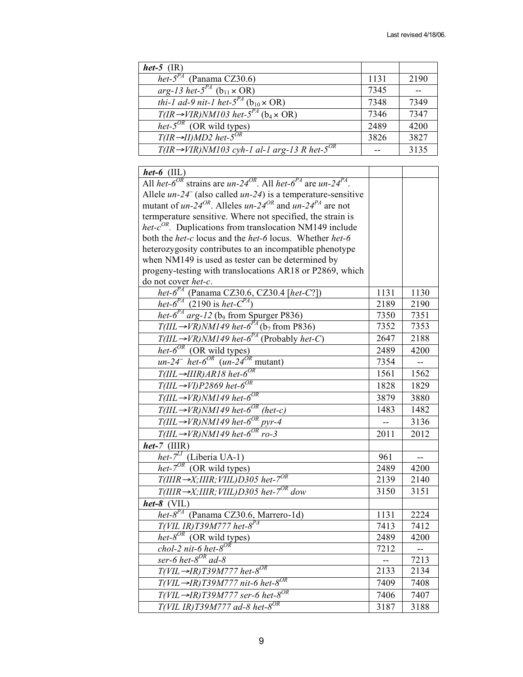| het-5 $(IR)$                                                               |      |      |
|----------------------------------------------------------------------------|------|------|
| het- $5^{PA}$ (Panama CZ30.6)                                              | 1131 | 2190 |
| arg-13 het- $5^{PA}$ (b <sub>11</sub> $\times$ OR)                         | 7345 |      |
| <i>thi-1 ad-9 nit-1 het-5<sup>PA</sup></i> ( $b_{10} \times \text{OR}$ )   | 7348 | 7349 |
| $T$ (IR $\rightarrow$ VIR)NM103 het- $5^{PA}$ (b <sub>4</sub> $\times$ OR) | 7346 | 7347 |
| $\overline{het\text{-}}5^{OR}$ (OR wild types)                             | 2489 | 4200 |
| $T$ (IR $\rightarrow$ II)MD2 het-5 <sup>OR</sup>                           | 3826 | 3827 |
| $T(IR \rightarrow VIR)NM103$ cyh-1 al-1 arg-13 R het-5 <sup>OR</sup>       |      | 3135 |

| $het-6$ (IIL)                                                                                                    |      |                          |
|------------------------------------------------------------------------------------------------------------------|------|--------------------------|
| All <i>het-6<sup>OR</sup></i> strains are $un-24^{OR}$ . All <i>het-6<sup>PA</sup></i> are $un-24^{PA}$ .        |      |                          |
| Allele $un-24^-$ (also called $un-24$ ) is a temperature-sensitive                                               |      |                          |
| mutant of un-24 <sup>OR</sup> . Alleles un-24 <sup>OR</sup> and un-24 <sup>PA</sup> are not                      |      |                          |
| termperature sensitive. Where not specified, the strain is                                                       |      |                          |
| het- $c^{OR}$ . Duplications from translocation NM149 include                                                    |      |                          |
| both the het-c locus and the het-6 locus. Whether het-6                                                          |      |                          |
| heterozygosity contributes to an incompatible phenotype                                                          |      |                          |
| when NM149 is used as tester can be determined by                                                                |      |                          |
| progeny-testing with translocations AR18 or P2869, which                                                         |      |                          |
| do not cover het-c.                                                                                              |      |                          |
| <i>het-6<sup>PA</sup></i> (Panama CZ30.6, CZ30.4 [ <i>het-C</i> ?])                                              | 1131 | 1130                     |
| het- $6^{PA}$ (2190 is het- $C^{PA}$ )                                                                           | 2189 | 2190                     |
| het- $6^{PA}$ arg-12 (b <sub>9</sub> from Spurger P836)                                                          | 7350 | 7351                     |
| $T(III \rightarrow VR)NM149$ het- $6^{PA}$ (b <sub>7</sub> from P836)                                            | 7352 | 7353                     |
| $T(III \rightarrow VR)NM149$ het- $6^{PA}$ (Probably het-C)                                                      | 2647 | 2188                     |
|                                                                                                                  | 2489 | 4200                     |
| <i>het-6<sup>OR</sup></i> (OR wild types)<br>un-24 <sup>-</sup> het-6 <sup>OR</sup> (un-24 <sup>OR</sup> mutant) | 7354 | $\bar{\mathcal{L}}$      |
| $T(III \rightarrow HIR)AR18$ het- $6^{OR}$                                                                       | 1561 | 1562                     |
| $T(III \rightarrow VI)P2869$ het-6 <sup>OR</sup>                                                                 | 1828 | 1829                     |
| $T(III \rightarrow VR)NM149$ het- $6^{OR}$                                                                       | 3879 | 3880                     |
| $T(III \rightarrow VR)NM149$ het-6 <sup>OR</sup> (het-c)                                                         | 1483 | 1482                     |
| $\frac{1}{T(III \rightarrow VR)}$ NM149 het-6 <sup>OR</sup> pyr-4                                                | 44   | 3136                     |
| $T(III \rightarrow VR)NM149$ het-6 <sup>OR</sup> ro-3                                                            | 2011 | 2012                     |
| $het-7$ (IIIR)                                                                                                   |      |                          |
| <i>het-7<sup>LI</sup></i> (Liberia UA-1)<br><i>het-7<sup>OR</sup></i> (OR wild types)                            | 961  |                          |
|                                                                                                                  | 2489 | 4200                     |
| $T(IIIR \rightarrow X; IIIR; VIII) D305$ het-7 <sup>0R</sup>                                                     | 2139 | 2140                     |
| $T(IIIR \rightarrow X; IIIR; VIII) D305$ het-7 <sup>OR</sup> dow                                                 | 3150 | 3151                     |
| $het-8$ (VIL)                                                                                                    |      |                          |
| $het-8^{PA}$ (Panama CZ30.6, Marrero-1d)                                                                         | 1131 | 2224                     |
| $T(VIL$ IR)T39M777 het- $8^{PA}$                                                                                 | 7413 | 7412                     |
| $het-8^{OR}$ (OR wild types)                                                                                     | 2489 | 4200                     |
| chol-2 nit-6 het- $8^{OR}$                                                                                       | 7212 | $\overline{\phantom{a}}$ |
| ser-6 het- $8^{OR}$ ad-8                                                                                         | ω.   | 7213                     |
| $T(VIL \rightarrow IR)$ T39M777 het-8 <sup>OR</sup>                                                              | 2133 | 2134                     |
| $T(VIL \rightarrow IR) T39M777$ nit-6 het-8 <sup>OR</sup>                                                        | 7409 | 7408                     |
| $T(VIL \rightarrow IR) T39M777$ ser-6 het-8 <sup>OR</sup>                                                        | 7406 | 7407                     |
| $T(VIL IR)T39M777$ ad-8 het-8 <sup>OR</sup>                                                                      | 3187 | 3188                     |